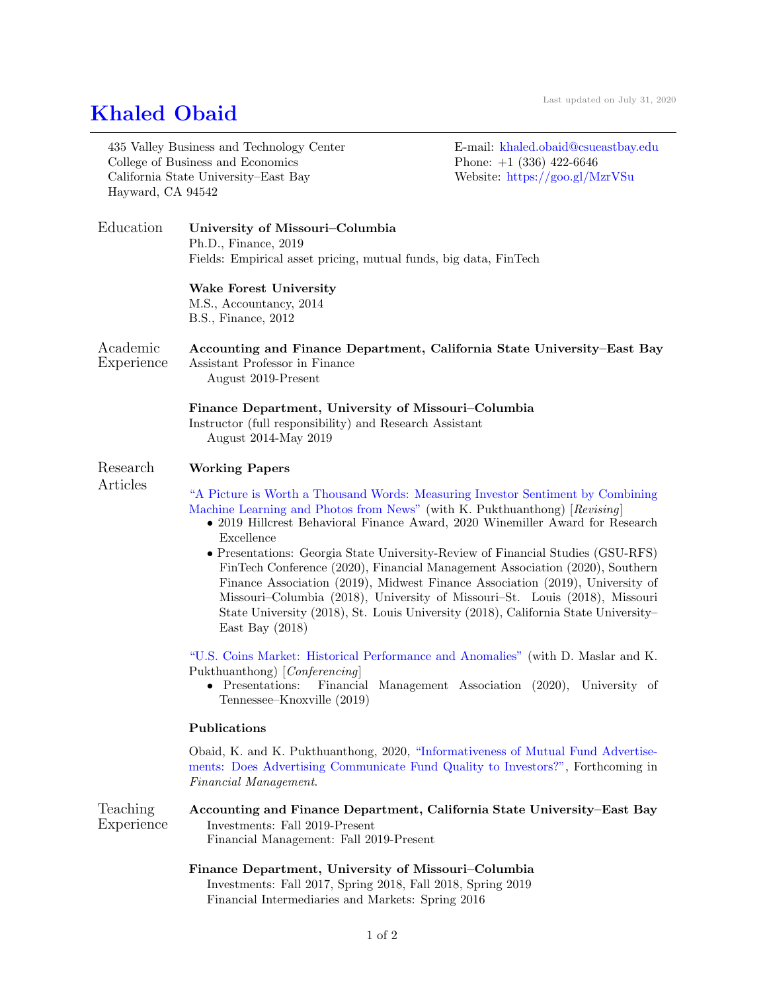## [Khaled Obaid](https://goo.gl/MzrVSu)

| Hayward, CA 94542      | 435 Valley Business and Technology Center<br>College of Business and Economics<br>California State University-East Bay                                                                                                                                                                                                                                                                                                                     | E-mail: khaled.obaid@csueastbay.edu<br>Phone: $+1$ (336) 422-6646<br>Website: https://goo.gl/MzrVSu |
|------------------------|--------------------------------------------------------------------------------------------------------------------------------------------------------------------------------------------------------------------------------------------------------------------------------------------------------------------------------------------------------------------------------------------------------------------------------------------|-----------------------------------------------------------------------------------------------------|
| Education              | University of Missouri-Columbia<br>Ph.D., Finance, 2019<br>Fields: Empirical asset pricing, mutual funds, big data, FinTech                                                                                                                                                                                                                                                                                                                |                                                                                                     |
|                        | <b>Wake Forest University</b><br>M.S., Accountancy, 2014<br>B.S., Finance, 2012                                                                                                                                                                                                                                                                                                                                                            |                                                                                                     |
| Academic<br>Experience | Accounting and Finance Department, California State University–East Bay<br>Assistant Professor in Finance<br>August 2019-Present                                                                                                                                                                                                                                                                                                           |                                                                                                     |
|                        | Finance Department, University of Missouri–Columbia<br>Instructor (full responsibility) and Research Assistant<br>August 2014-May 2019                                                                                                                                                                                                                                                                                                     |                                                                                                     |
| Research<br>Articles   | <b>Working Papers</b>                                                                                                                                                                                                                                                                                                                                                                                                                      |                                                                                                     |
|                        | "A Picture is Worth a Thousand Words: Measuring Investor Sentiment by Combining<br>Machine Learning and Photos from News" (with K. Pukthuanthong) [Revising]<br>• 2019 Hillcrest Behavioral Finance Award, 2020 Winemiller Award for Research<br>Excellence                                                                                                                                                                                |                                                                                                     |
|                        | • Presentations: Georgia State University-Review of Financial Studies (GSU-RFS)<br>FinTech Conference (2020), Financial Management Association (2020), Southern<br>Finance Association (2019), Midwest Finance Association (2019), University of<br>Missouri–Columbia (2018), University of Missouri–St. Louis (2018), Missouri<br>State University (2018), St. Louis University (2018), California State University-<br>East Bay $(2018)$ |                                                                                                     |
|                        | "U.S. Coins Market: Historical Performance and Anomalies" (with D. Maslar and K.<br>Pukthuanthong) [Conferencing]<br>• Presentations: Financial Management Association (2020), University of<br>Tennessee–Knoxville (2019)                                                                                                                                                                                                                 |                                                                                                     |
|                        | Publications                                                                                                                                                                                                                                                                                                                                                                                                                               |                                                                                                     |
|                        | Obaid, K. and K. Pukthuanthong, 2020, "Informativeness of Mutual Fund Advertise-<br>ments: Does Advertising Communicate Fund Quality to Investors?", Forthcoming in<br>Financial Management.                                                                                                                                                                                                                                               |                                                                                                     |
| Teaching<br>Experience | Accounting and Finance Department, California State University-East Bay<br>Investments: Fall 2019-Present<br>Financial Management: Fall 2019-Present                                                                                                                                                                                                                                                                                       |                                                                                                     |
|                        | Finance Department, University of Missouri-Columbia<br>Investments: Fall 2017, Spring 2018, Fall 2018, Spring 2019<br>Financial Intermediaries and Markets: Spring 2016                                                                                                                                                                                                                                                                    |                                                                                                     |